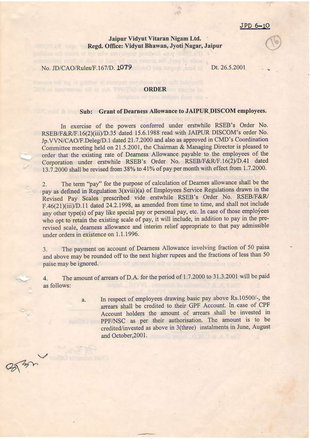## JPD 6-10

## Jaipur Vidyut Vitaran Nigam Ltd. Regd. Office: Vidyut Bhawan, Jyoti Nagar, Jaipur

No. JD/CAO/Rules/F.167/D. 1079

with its sitt nister of too od'w sou olettie product

Dt. 26.5.2001

## **ORDER ORDER**

## Sub: Grant of Dearness Allowance to JAIPUR DISCOM employees.

In exercise of the powers conferred under erstwhile RSEB's Order No. RSEB/F&R/F.16(2)(iii)/D.35 dated 15.6.1988 read with JAIPUR DISCOM's order No. Jp.VVN/CAO/F.Deleg/D.1 dated 21.7.2000 and also as approved in CMD's Coordination Committee meeting held on 21.5.2001, the Chairman & Managing Director is pleased to order that the existing rate of Dearness Allowance payable to the employees of the Corporation under erstwhile RSEB's Order No. RSEB/F&R/F.16(2)/D.41 dated 13.7.2000 shall be revised from 38% to 41% of pay per month with effect from 1.7.2000.

The term "pay" for the purpose of calculation of Dearnes allowance shall be the  $2.$ pay as defined in Regulation 3(xviii)(a) of Employees Service Regulations drawn in the Revised Pay Scales prescribed vide erstwhile RSEB's Order No. RSEB/F&R/ F.46(21)(iii)/D.11 dated 24.2.1998, as amended from time to time, and shall not include any other type(s) of pay like special pay or personal pay, etc. In case of those employees who opt to retain the existing scale of pay, it will include, in addition to pay in the prerevised scale, dearness allowance and interim relief appropriate to that pay admissible under orders in existence on 1.1.1996.

The payment on account of Dearness Allowance involving fraction of 50 paisa  $3.$ and above may be rounded off to the next higher rupees and the fractions of less than 50 paise may be ignored.

The amount of arrears of D.A. for the period of 1.7.2000 to 31.3.2001 will be paid  $\overline{4}$ . as follows:

a.

 $\sqrt{\frac{2}{3}}$ 

In respect of employees drawing basic pay above Rs.10500/-, the arrears shall be credited to their GPF Account. In case of CPF Account holders the amount of arrears shall be invested in PPF/NSC as per their authorisation. The amount is to be credited/invested as above in 3(three) instalments in June, August and October, 2001.